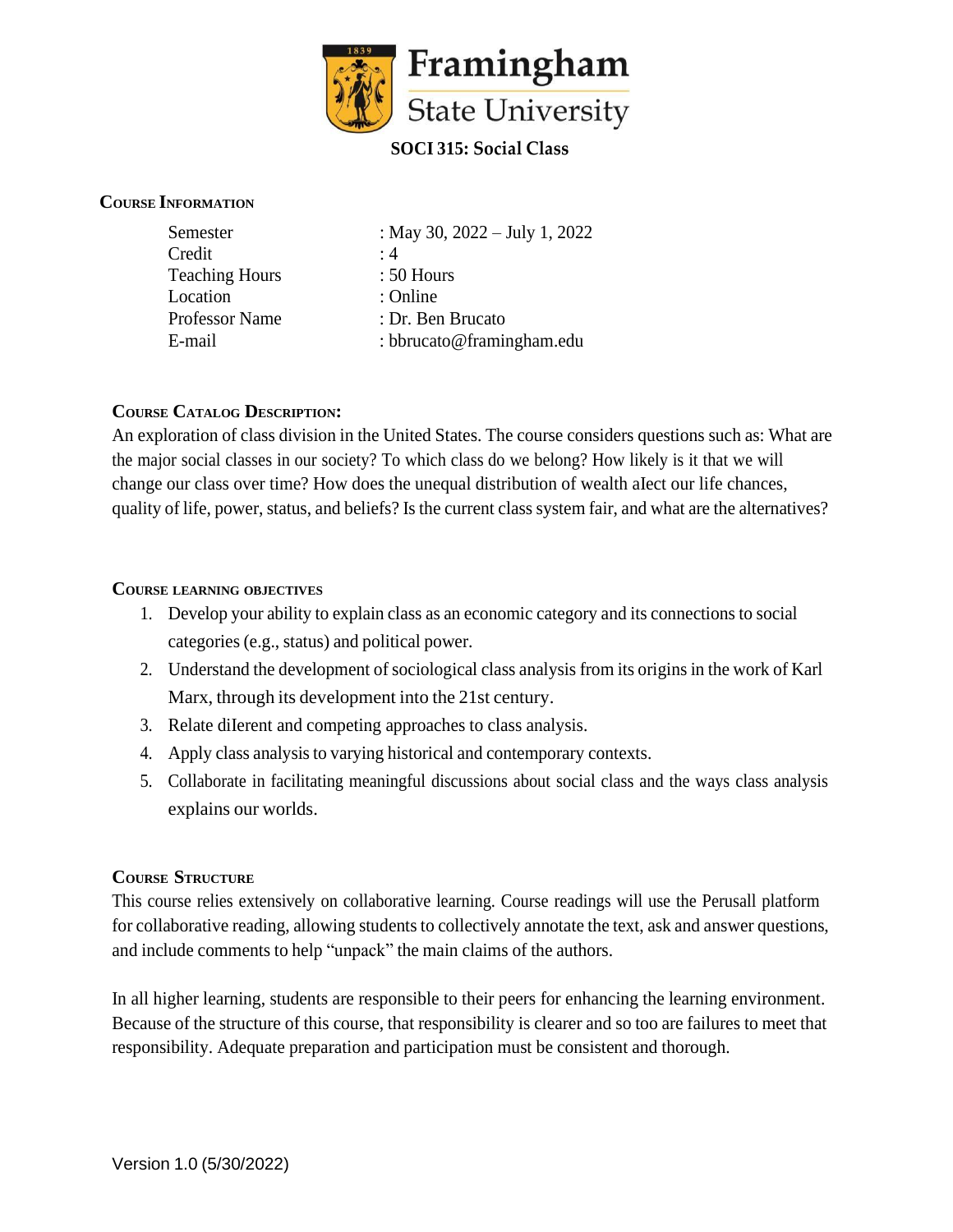

#### **COURSE INFORMATION**

| Credit<br>$\cdot$ 4<br><b>Teaching Hours</b><br>$: 50$ Hours<br>Location<br>: Online<br><b>Professor Name</b><br>: Dr. Ben Brucato<br>: bbrucato@framingham.edu<br>E-mail | Semester | : May 30, $2022 - July 1, 2022$ |
|---------------------------------------------------------------------------------------------------------------------------------------------------------------------------|----------|---------------------------------|
|                                                                                                                                                                           |          |                                 |
|                                                                                                                                                                           |          |                                 |
|                                                                                                                                                                           |          |                                 |
|                                                                                                                                                                           |          |                                 |
|                                                                                                                                                                           |          |                                 |

#### **COURSE CATALOG DESCRIPTION:**

An exploration of class division in the United States. The course considers questions such as: What are the major social classes in our society? To which class do we belong? How likely is it that we will change our class over time? How does the unequal distribution of wealth aIect our life chances, quality of life, power, status, and beliefs? Is the current class system fair, and what are the alternatives?

#### **COURSE LEARNING OBJECTIVES**

- 1. Develop your ability to explain class as an economic category and its connections to social categories (e.g., status) and political power.
- 2. Understand the development ofsociological class analysis from its origins in the work of Karl Marx, through its development into the 21st century.
- 3. Relate diIerent and competing approaches to class analysis.
- 4. Apply class analysis to varying historical and contemporary contexts.
- 5. Collaborate in facilitating meaningful discussions about social class and the ways class analysis explains our worlds.

#### **COURSE STRUCTURE**

This course relies extensively on collaborative learning. Course readings will use the Perusall platform for collaborative reading, allowing students to collectively annotate the text, ask and answer questions, and include comments to help "unpack" the main claims of the authors.

In all higher learning, students are responsible to their peers for enhancing the learning environment. Because of the structure of this course, that responsibility is clearer and so too are failures to meet that responsibility. Adequate preparation and participation must be consistent and thorough.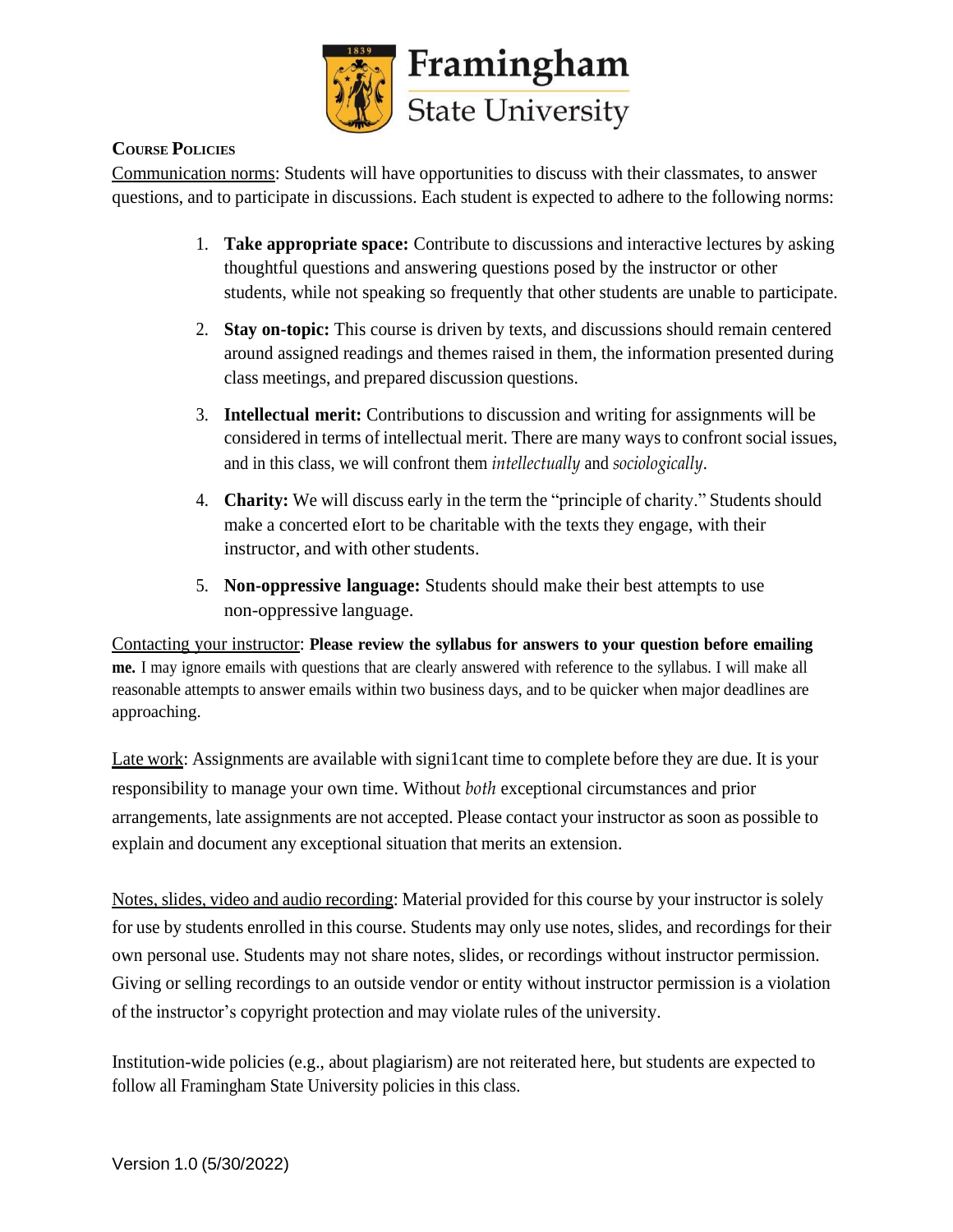

# **COURSE POLICIES**

Communication norms: Students will have opportunities to discuss with their classmates, to answer questions, and to participate in discussions. Each student is expected to adhere to the following norms:

- 1. **Take appropriate space:** Contribute to discussions and interactive lectures by asking thoughtful questions and answering questions posed by the instructor or other students, while not speaking so frequently that other students are unable to participate.
- 2. **Stay on-topic:** This course is driven by texts, and discussions should remain centered around assigned readings and themes raised in them, the information presented during class meetings, and prepared discussion questions.
- 3. **Intellectual merit:** Contributions to discussion and writing for assignments will be considered in terms of intellectual merit. There are many ways to confront social issues, and in this class, we will confront them *intellectually* and *sociologically*.
- 4. **Charity:** We will discuss early in the term the "principle of charity." Students should make a concerted eIort to be charitable with the texts they engage, with their instructor, and with other students.
- 5. **Non-oppressive language:** Students should make their best attempts to use non-oppressive language.

Contacting your instructor: **Please review the syllabus for answers to your question before emailing me.** I may ignore emails with questions that are clearly answered with reference to the syllabus. I will make all reasonable attempts to answer emails within two business days, and to be quicker when major deadlines are approaching.

Late work: Assignments are available with signi1cant time to complete before they are due. It is your responsibility to manage your own time. Without *both* exceptional circumstances and prior arrangements, late assignments are not accepted. Please contact your instructor as soon as possible to explain and document any exceptional situation that merits an extension.

Notes, slides, video and audio recording: Material provided for this course by your instructor is solely for use by students enrolled in this course. Students may only use notes, slides, and recordings for their own personal use. Students may not share notes, slides, or recordings without instructor permission. Giving or selling recordings to an outside vendor or entity without instructor permission is a violation of the instructor's copyright protection and may violate rules of the university.

Institution-wide policies (e.g., about plagiarism) are not reiterated here, but students are expected to follow all Framingham State University policies in this class.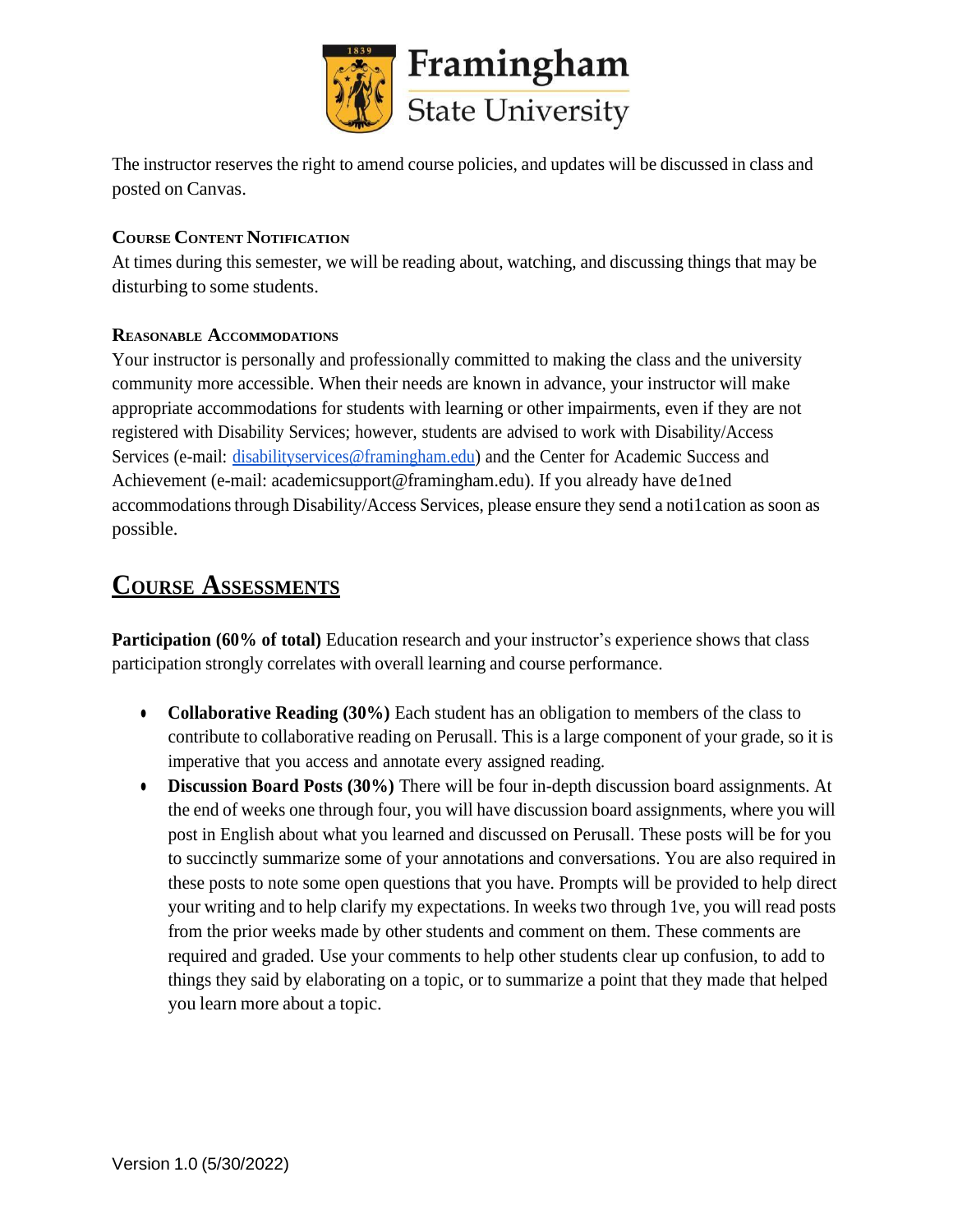

The instructor reserves the right to amend course policies, and updates will be discussed in class and posted on Canvas.

# **COURSE CONTENT NOTIFICATION**

At times during this semester, we will be reading about, watching, and discussing things that may be disturbing to some students.

# **REASONABLE ACCOMMODATIONS**

Your instructor is personally and professionally committed to making the class and the university community more accessible. When their needs are known in advance, your instructor will make appropriate accommodations for students with learning or other impairments, even if they are not registered with Disability Services; however, students are advised to work with Disability/Access Services (e-mail: [disabilityservices@framingham.edu\)](mailto:disabilityservices@framingham.edu) and the Center for Academic Success and Achievement (e-mail: academicsupport@framingham.edu). If you already have de1ned accommodationsthrough Disability/Access Services, please ensure they send a noti1cation as soon as possible.

# **COURSE ASSESSMENTS**

**Participation (60% of total)** Education research and your instructor's experience shows that class participation strongly correlates with overall learning and course performance.

- **Collaborative Reading (30%)** Each student has an obligation to members of the class to contribute to collaborative reading on Perusall. This is a large component of your grade, so it is imperative that you access and annotate every assigned reading.
- **Discussion Board Posts (30%)** There will be four in-depth discussion board assignments. At the end of weeks one through four, you will have discussion board assignments, where you will post in English about what you learned and discussed on Perusall. These posts will be for you to succinctly summarize some of your annotations and conversations. You are also required in these posts to note some open questions that you have. Prompts will be provided to help direct your writing and to help clarify my expectations. In weeks two through 1ve, you will read posts from the prior weeks made by other students and comment on them. These comments are required and graded. Use your comments to help other students clear up confusion, to add to things they said by elaborating on a topic, or to summarize a point that they made that helped you learn more about a topic.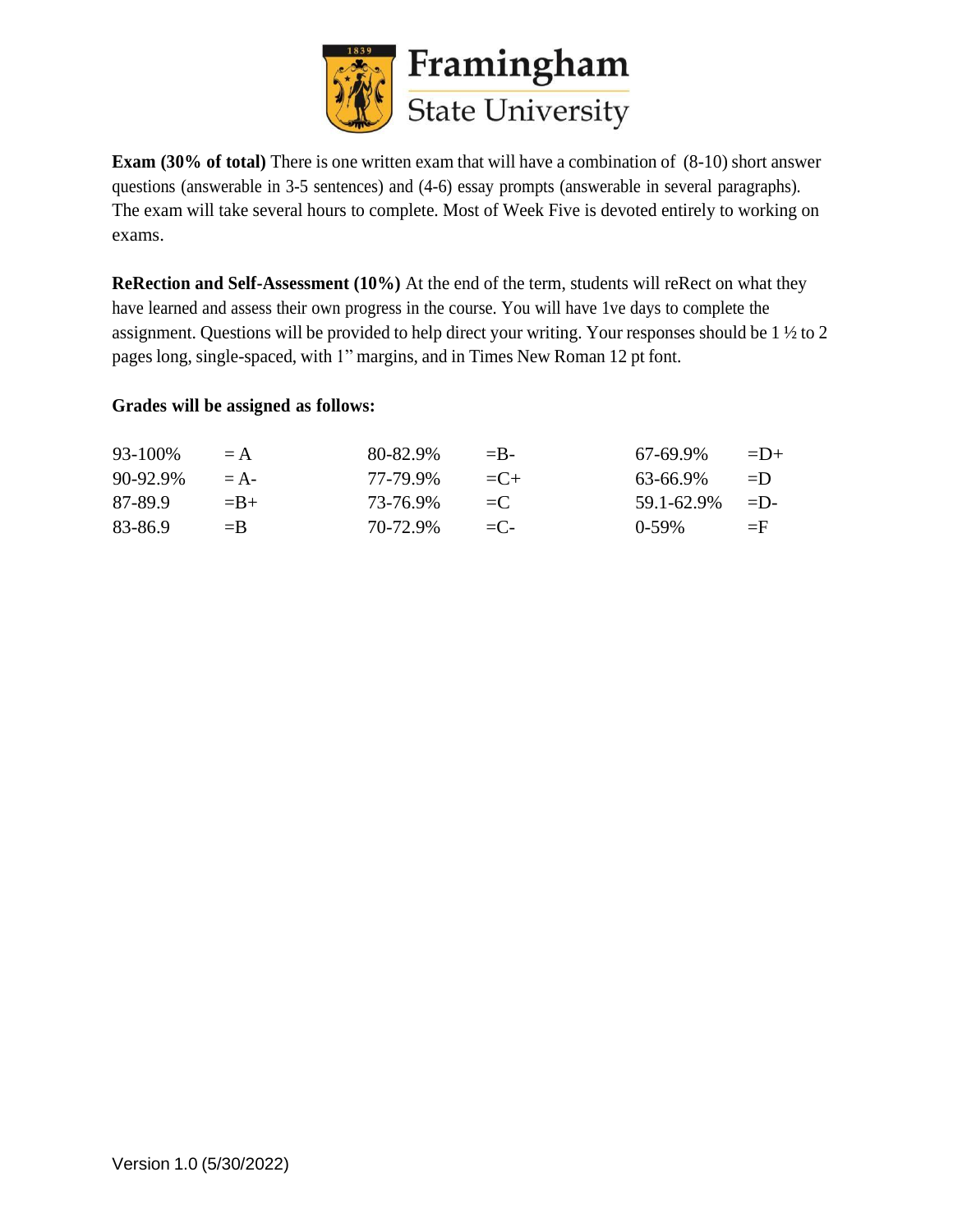

**Exam (30% of total)** There is one written exam that will have a combination of (8-10) short answer questions (answerable in 3-5 sentences) and (4-6) essay prompts (answerable in several paragraphs). The exam will take several hours to complete. Most of Week Five is devoted entirely to working on exams.

**ReRection and Self-Assessment (10%)** At the end of the term, students will reRect on what they have learned and assess their own progress in the course. You will have 1ve days to complete the assignment. Questions will be provided to help direct your writing. Your responses should be 1 ½ to 2 pages long, single-spaced, with 1" margins, and in Times New Roman 12 pt font.

#### **Grades will be assigned as follows:**

| 93-100%  | $= A$   | 80-82.9% | $=$ B-         | 67-69.9%   | $=$ D+     |
|----------|---------|----------|----------------|------------|------------|
| 90-92.9% | $= A -$ | 77-79.9% | $= 0.1 +$      | 63-66.9%   | $=$ I)     |
| 87-89.9  | $=$ B+  | 73-76.9% | $=$ $\Gamma$   | 59.1-62.9% | $=$ $\Box$ |
| 83-86.9  | $=$ B   | 70-72.9% | $=$ $\Gamma$ – | $0-59\%$   | $=$ F      |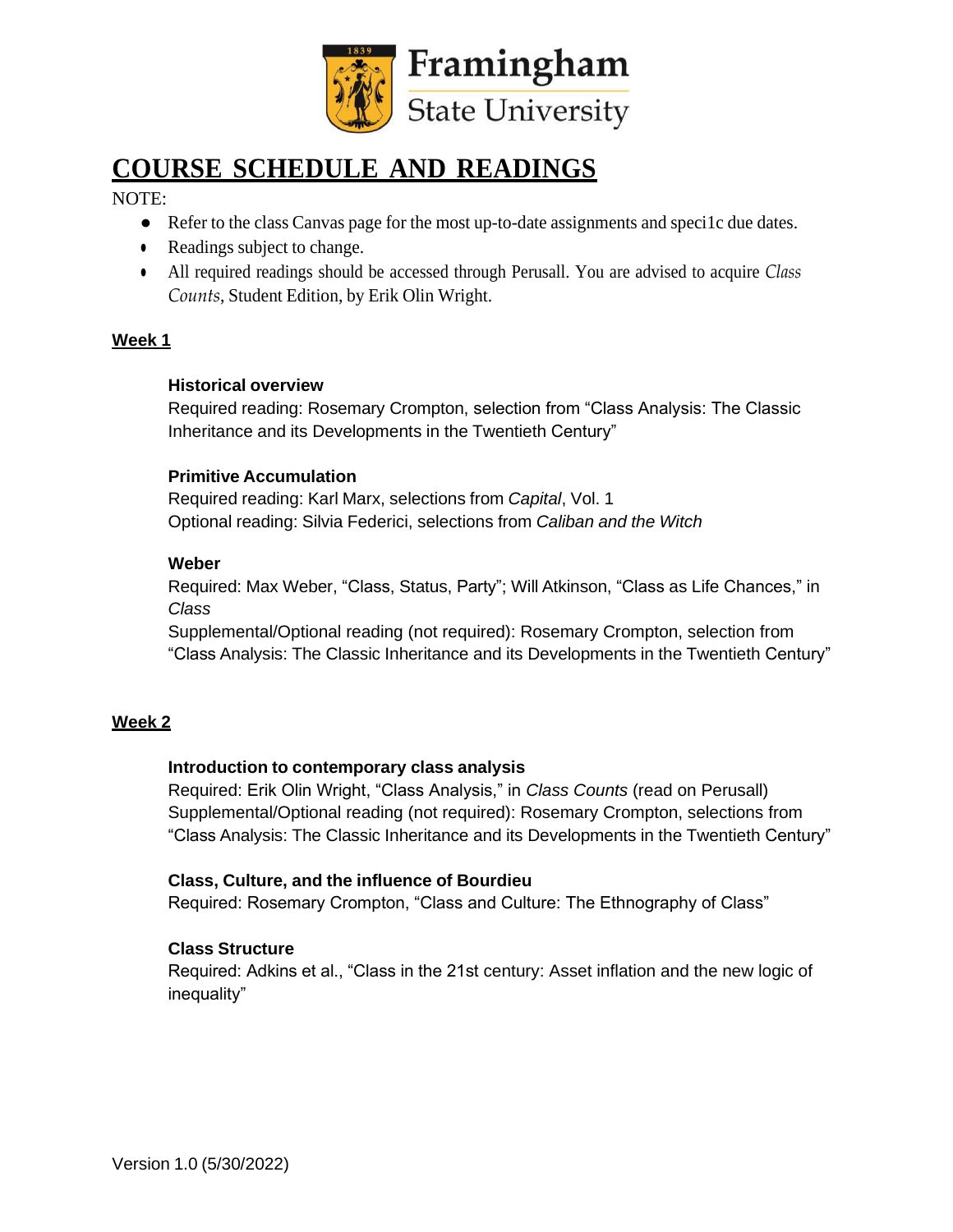

# **COURSE SCHEDULE AND READINGS**

NOTE:

- **●** Refer to the class Canvas page for the most up-to-date assignments and speci1c due dates.
- Readings subject to change.
- All required readings should be accessed through Perusall. You are advised to acquire *Class Counts*, Student Edition, by Erik Olin Wright.

#### **Week 1**

#### **Historical overview**

Required reading: Rosemary Crompton, selection from "Class Analysis: The Classic Inheritance and its Developments in the Twentieth Century"

# **Primitive Accumulation**

Required reading: Karl Marx, selections from *Capital*, Vol. 1 Optional reading: Silvia Federici, selections from *Caliban and the Witch*

# **Weber**

Required: Max Weber, "Class, Status, Party"; Will Atkinson, "Class as Life Chances," in *Class*

Supplemental/Optional reading (not required): Rosemary Crompton, selection from "Class Analysis: The Classic Inheritance and its Developments in the Twentieth Century"

# **Week 2**

#### **Introduction to contemporary class analysis**

Required: Erik Olin Wright, "Class Analysis," in *Class Counts* (read on Perusall) Supplemental/Optional reading (not required): Rosemary Crompton, selections from "Class Analysis: The Classic Inheritance and its Developments in the Twentieth Century"

#### **Class, Culture, and the influence of Bourdieu**

Required: Rosemary Crompton, "Class and Culture: The Ethnography of Class"

# **Class Structure**

Required: Adkins et al., "Class in the 21st century: Asset inflation and the new logic of inequality"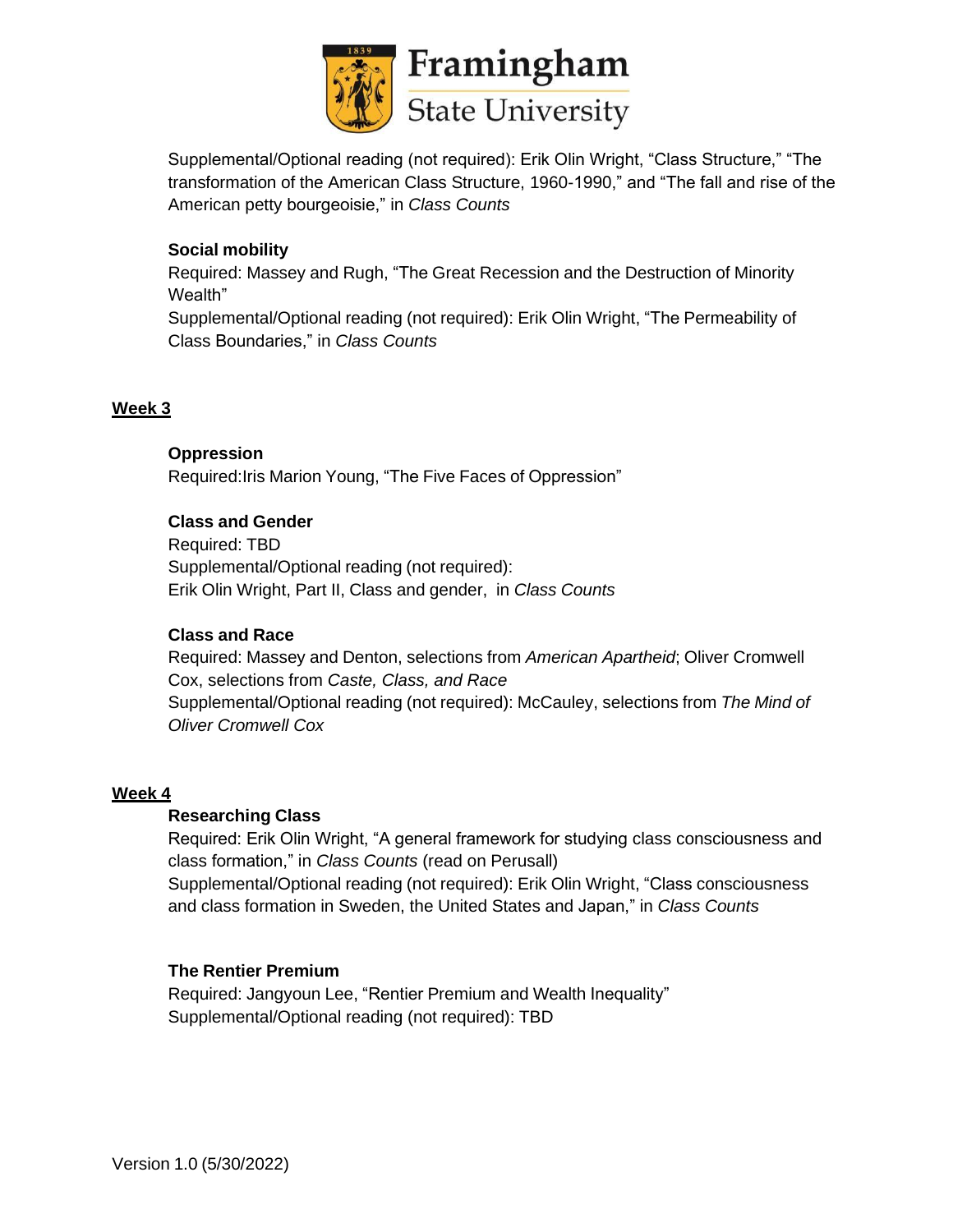

Supplemental/Optional reading (not required): Erik Olin Wright, "Class Structure," "The transformation of the American Class Structure, 1960-1990," and "The fall and rise of the American petty bourgeoisie," in *Class Counts*

# **Social mobility**

Required: Massey and Rugh, "The Great Recession and the Destruction of Minority Wealth"

Supplemental/Optional reading (not required): Erik Olin Wright, "The Permeability of Class Boundaries," in *Class Counts*

#### **Week 3**

#### **Oppression**

Required:Iris Marion Young, "The Five Faces of Oppression"

# **Class and Gender**

Required: TBD Supplemental/Optional reading (not required): Erik Olin Wright, Part II, Class and gender, in *Class Counts*

#### **Class and Race**

Required: Massey and Denton, selections from *American Apartheid*; Oliver Cromwell Cox, selections from *Caste, Class, and Race* Supplemental/Optional reading (not required): McCauley, selections from *The Mind of Oliver Cromwell Cox*

#### **Week 4**

#### **Researching Class**

Required: Erik Olin Wright, "A general framework for studying class consciousness and class formation," in *Class Counts* (read on Perusall) Supplemental/Optional reading (not required): Erik Olin Wright, "Class consciousness and class formation in Sweden, the United States and Japan," in *Class Counts*

#### **The Rentier Premium**

Required: Jangyoun Lee, "Rentier Premium and Wealth Inequality" Supplemental/Optional reading (not required): TBD